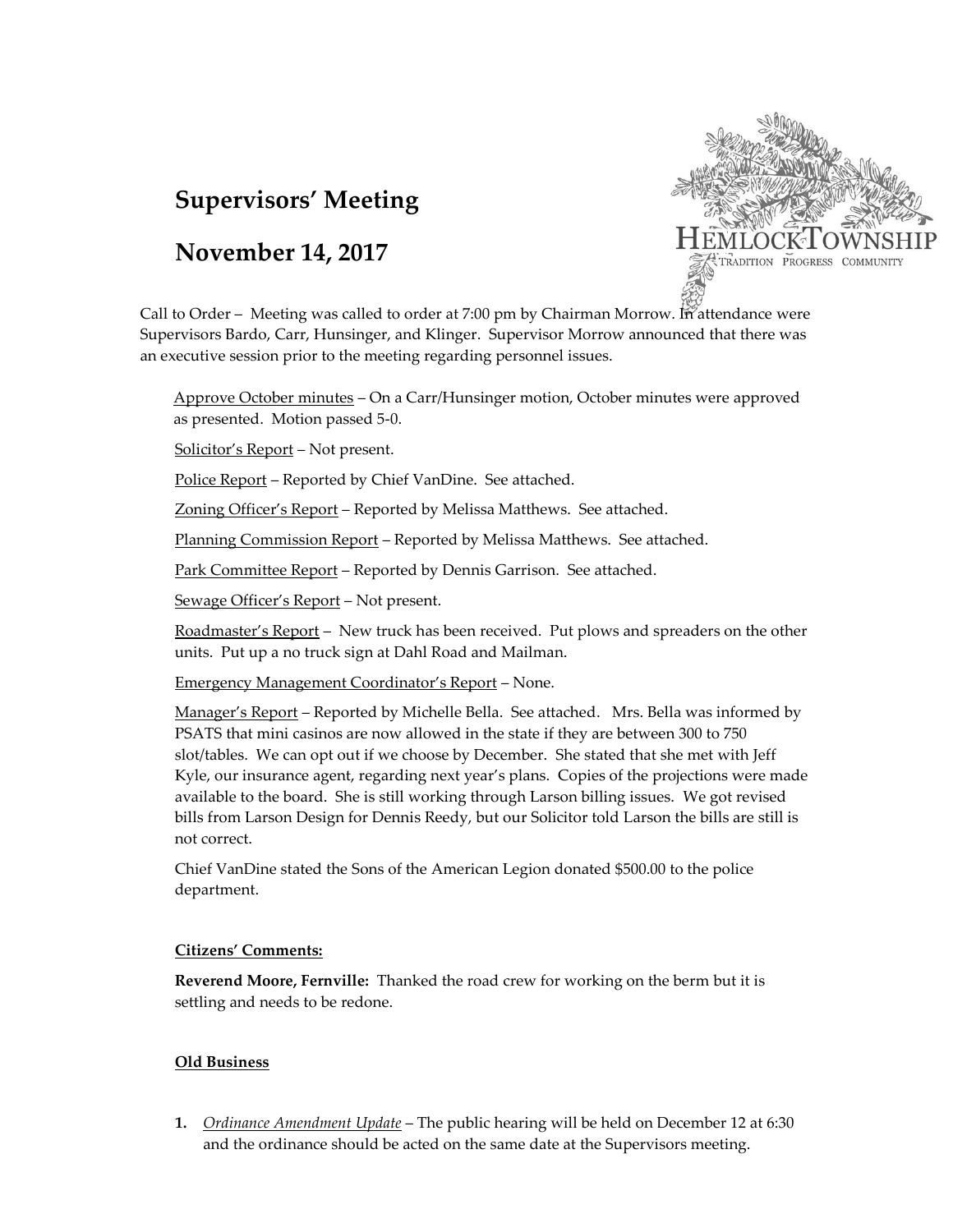# **Supervisors' Meeting**

## **November 14, 2017**



Call to Order – Meeting was called to order at 7:00 pm by Chairman Morrow. In attendance were Supervisors Bardo, Carr, Hunsinger, and Klinger. Supervisor Morrow announced that there was an executive session prior to the meeting regarding personnel issues.

Approve October minutes – On a Carr/Hunsinger motion, October minutes were approved as presented. Motion passed 5-0.

Solicitor's Report – Not present.

Police Report – Reported by Chief VanDine. See attached.

Zoning Officer's Report – Reported by Melissa Matthews. See attached.

Planning Commission Report – Reported by Melissa Matthews. See attached.

Park Committee Report – Reported by Dennis Garrison. See attached.

Sewage Officer's Report – Not present.

Roadmaster's Report – New truck has been received. Put plows and spreaders on the other units. Put up a no truck sign at Dahl Road and Mailman.

Emergency Management Coordinator's Report – None.

Manager's Report – Reported by Michelle Bella. See attached. Mrs. Bella was informed by PSATS that mini casinos are now allowed in the state if they are between 300 to 750 slot/tables. We can opt out if we choose by December. She stated that she met with Jeff Kyle, our insurance agent, regarding next year's plans. Copies of the projections were made available to the board. She is still working through Larson billing issues. We got revised bills from Larson Design for Dennis Reedy, but our Solicitor told Larson the bills are still is not correct.

Chief VanDine stated the Sons of the American Legion donated \$500.00 to the police department.

## **Citizens' Comments:**

**Reverend Moore, Fernville:** Thanked the road crew for working on the berm but it is settling and needs to be redone.

## **Old Business**

**1.** *Ordinance Amendment Update* – The public hearing will be held on December 12 at 6:30 and the ordinance should be acted on the same date at the Supervisors meeting.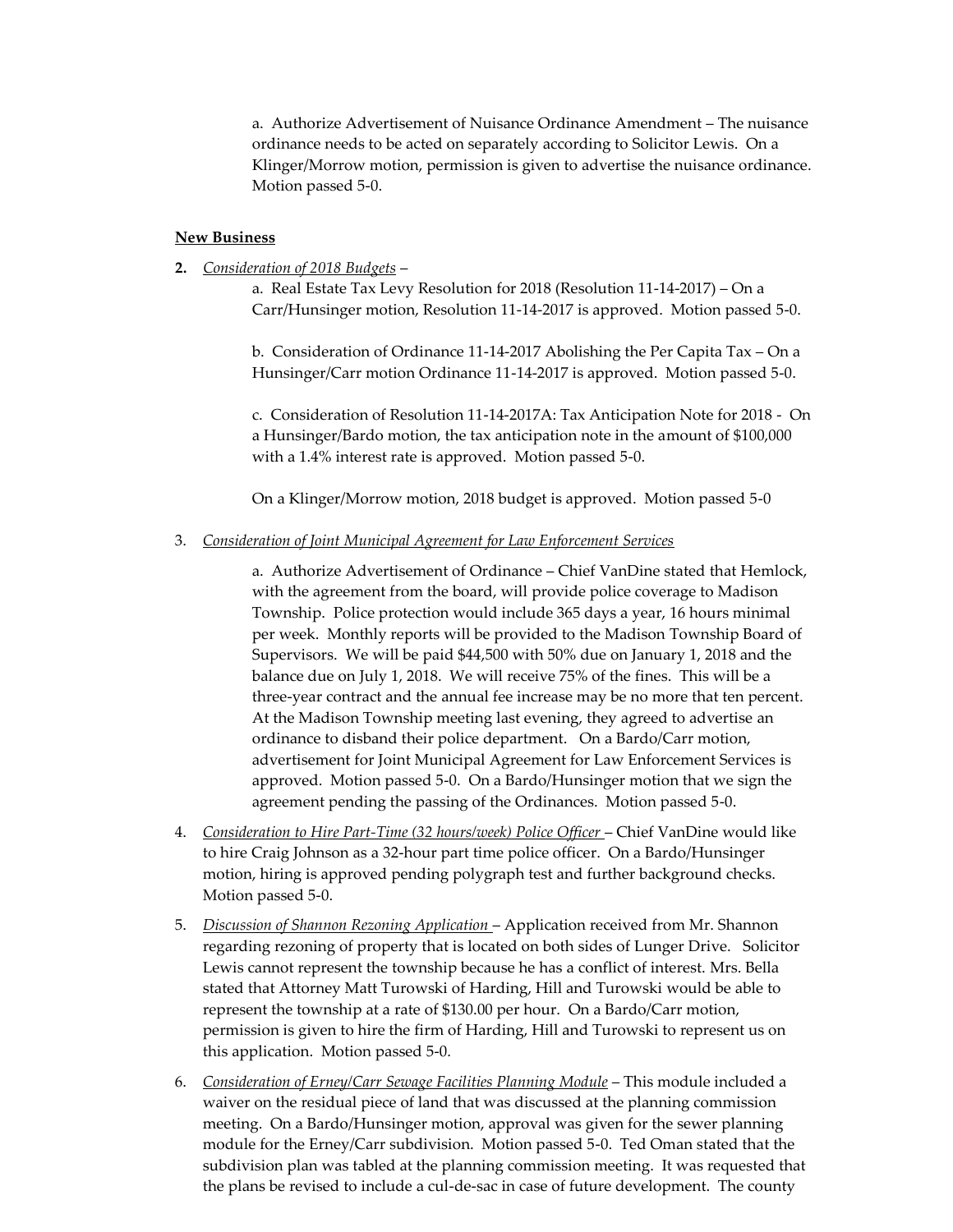a. Authorize Advertisement of Nuisance Ordinance Amendment – The nuisance ordinance needs to be acted on separately according to Solicitor Lewis. On a Klinger/Morrow motion, permission is given to advertise the nuisance ordinance. Motion passed 5-0.

#### **New Business**

#### **2.** *Consideration of 2018 Budgets* –

a. Real Estate Tax Levy Resolution for 2018 (Resolution 11-14-2017) – On a Carr/Hunsinger motion, Resolution 11-14-2017 is approved. Motion passed 5-0.

b. Consideration of Ordinance 11-14-2017 Abolishing the Per Capita Tax – On a Hunsinger/Carr motion Ordinance 11-14-2017 is approved. Motion passed 5-0.

c. Consideration of Resolution 11-14-2017A: Tax Anticipation Note for 2018 - On a Hunsinger/Bardo motion, the tax anticipation note in the amount of \$100,000 with a 1.4% interest rate is approved. Motion passed 5-0.

On a Klinger/Morrow motion, 2018 budget is approved. Motion passed 5-0

#### 3. *Consideration of Joint Municipal Agreement for Law Enforcement Services*

a. Authorize Advertisement of Ordinance – Chief VanDine stated that Hemlock, with the agreement from the board, will provide police coverage to Madison Township. Police protection would include 365 days a year, 16 hours minimal per week. Monthly reports will be provided to the Madison Township Board of Supervisors. We will be paid \$44,500 with 50% due on January 1, 2018 and the balance due on July 1, 2018. We will receive 75% of the fines. This will be a three-year contract and the annual fee increase may be no more that ten percent. At the Madison Township meeting last evening, they agreed to advertise an ordinance to disband their police department. On a Bardo/Carr motion, advertisement for Joint Municipal Agreement for Law Enforcement Services is approved. Motion passed 5-0. On a Bardo/Hunsinger motion that we sign the agreement pending the passing of the Ordinances. Motion passed 5-0.

- 4. *Consideration to Hire Part-Time (32 hours/week) Police Officer* Chief VanDine would like to hire Craig Johnson as a 32-hour part time police officer. On a Bardo/Hunsinger motion, hiring is approved pending polygraph test and further background checks. Motion passed 5-0.
- 5. *Discussion of Shannon Rezoning Application* Application received from Mr. Shannon regarding rezoning of property that is located on both sides of Lunger Drive. Solicitor Lewis cannot represent the township because he has a conflict of interest. Mrs. Bella stated that Attorney Matt Turowski of Harding, Hill and Turowski would be able to represent the township at a rate of \$130.00 per hour. On a Bardo/Carr motion, permission is given to hire the firm of Harding, Hill and Turowski to represent us on this application. Motion passed 5-0.
- 6. *Consideration of Erney/Carr Sewage Facilities Planning Module* This module included a waiver on the residual piece of land that was discussed at the planning commission meeting. On a Bardo/Hunsinger motion, approval was given for the sewer planning module for the Erney/Carr subdivision. Motion passed 5-0. Ted Oman stated that the subdivision plan was tabled at the planning commission meeting. It was requested that the plans be revised to include a cul-de-sac in case of future development. The county